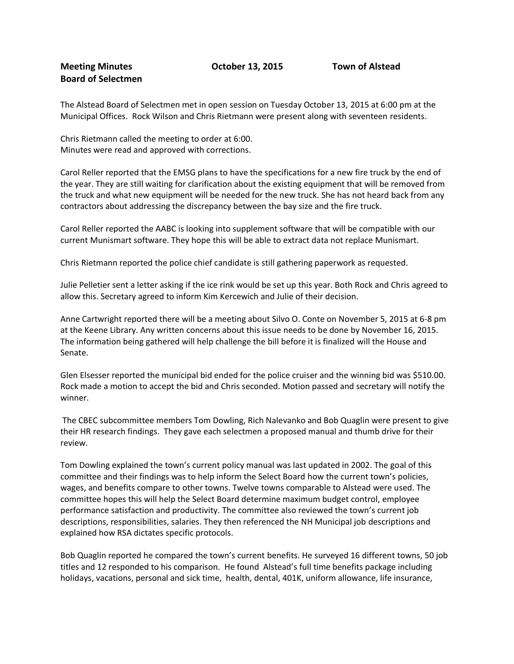The Alstead Board of Selectmen met in open session on Tuesday October 13, 2015 at 6:00 pm at the Municipal Offices. Rock Wilson and Chris Rietmann were present along with seventeen residents.

Chris Rietmann called the meeting to order at 6:00. Minutes were read and approved with corrections.

Carol Reller reported that the EMSG plans to have the specifications for a new fire truck by the end of the year. They are still waiting for clarification about the existing equipment that will be removed from the truck and what new equipment will be needed for the new truck. She has not heard back from any contractors about addressing the discrepancy between the bay size and the fire truck.

Carol Reller reported the AABC is looking into supplement software that will be compatible with our current Munismart software. They hope this will be able to extract data not replace Munismart.

Chris Rietmann reported the police chief candidate is still gathering paperwork as requested.

Julie Pelletier sent a letter asking if the ice rink would be set up this year. Both Rock and Chris agreed to allow this. Secretary agreed to inform Kim Kercewich and Julie of their decision.

Anne Cartwright reported there will be a meeting about Silvo O. Conte on November 5, 2015 at 6-8 pm at the Keene Library. Any written concerns about this issue needs to be done by November 16, 2015. The information being gathered will help challenge the bill before it is finalized will the House and Senate.

Glen Elsesser reported the municipal bid ended for the police cruiser and the winning bid was \$510.00. Rock made a motion to accept the bid and Chris seconded. Motion passed and secretary will notify the winner.

The CBEC subcommittee members Tom Dowling, Rich Nalevanko and Bob Quaglin were present to give their HR research findings. They gave each selectmen a proposed manual and thumb drive for their review.

Tom Dowling explained the town's current policy manual was last updated in 2002. The goal of this committee and their findings was to help inform the Select Board how the current town's policies, wages, and benefits compare to other towns. Twelve towns comparable to Alstead were used. The committee hopes this will help the Select Board determine maximum budget control, employee performance satisfaction and productivity. The committee also reviewed the town's current job descriptions, responsibilities, salaries. They then referenced the NH Municipal job descriptions and explained how RSA dictates specific protocols.

Bob Quaglin reported he compared the town's current benefits. He surveyed 16 different towns, 50 job titles and 12 responded to his comparison. He found Alstead's full time benefits package including holidays, vacations, personal and sick time, health, dental, 401K, uniform allowance, life insurance,